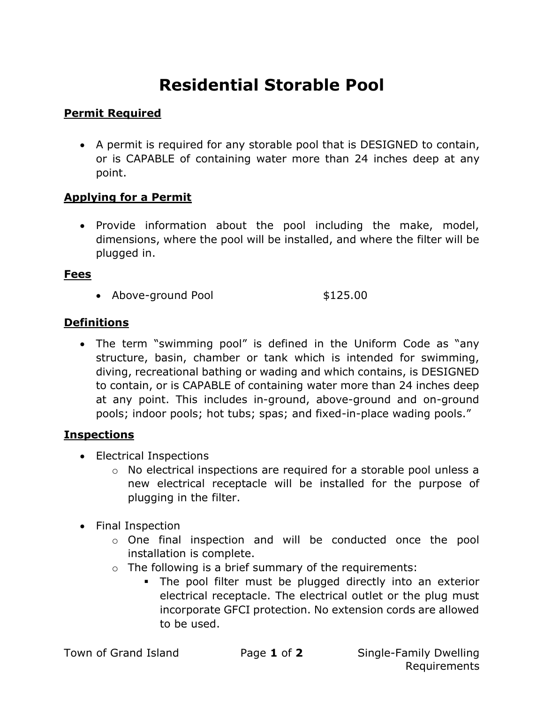# Residential Storable Pool

## Permit Required

 A permit is required for any storable pool that is DESIGNED to contain, or is CAPABLE of containing water more than 24 inches deep at any point.

## Applying for a Permit

• Provide information about the pool including the make, model, dimensions, where the pool will be installed, and where the filter will be plugged in.

#### Fees

• Above-ground Pool \$125.00

## **Definitions**

 The term "swimming pool" is defined in the Uniform Code as "any structure, basin, chamber or tank which is intended for swimming, diving, recreational bathing or wading and which contains, is DESIGNED to contain, or is CAPABLE of containing water more than 24 inches deep at any point. This includes in-ground, above-ground and on-ground pools; indoor pools; hot tubs; spas; and fixed-in-place wading pools."

## **Inspections**

- Electrical Inspections
	- o No electrical inspections are required for a storable pool unless a new electrical receptacle will be installed for the purpose of plugging in the filter.
- Final Inspection
	- o One final inspection and will be conducted once the pool installation is complete.
	- $\circ$  The following is a brief summary of the requirements:
		- The pool filter must be plugged directly into an exterior electrical receptacle. The electrical outlet or the plug must incorporate GFCI protection. No extension cords are allowed to be used.